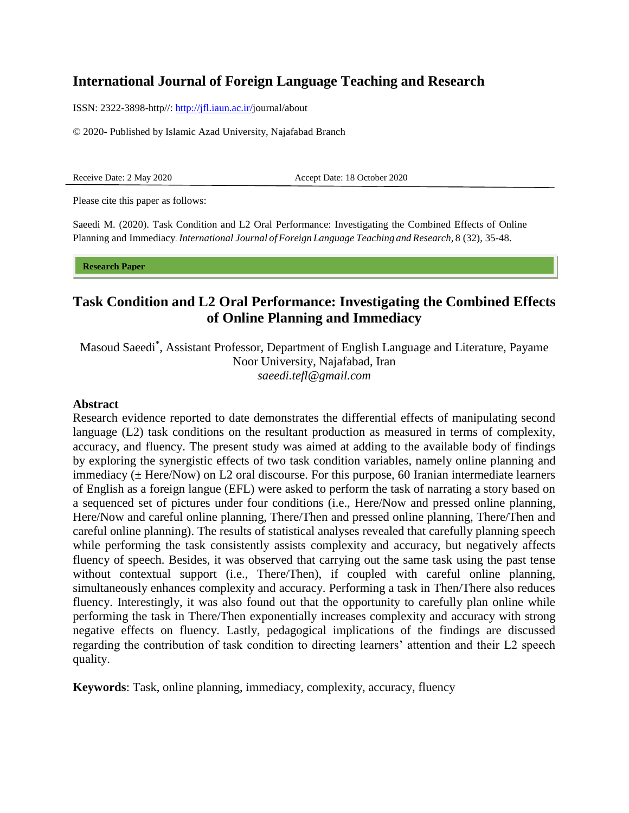# **International Journal of Foreign Language Teaching and Research**

ISSN: 2322-3898-http//: [http://jfl.iaun.ac.ir/j](http://jfl.iaun.ac.ir/)ournal/about

© 2020- Published by Islamic Azad University, Najafabad Branch

Receive Date: 2 May 2020 Accept Date: 18 October 2020

Please cite this paper as follows:

Saeedi M. (2020). Task Condition and L2 Oral Performance: Investigating the Combined Effects of Online Planning and Immediacy. *International Journal of Foreign Language Teaching and Research,* 8 (32), 35-48.

**Research Paper** 

# **Task Condition and L2 Oral Performance: Investigating the Combined Effects of Online Planning and Immediacy**

Masoud Saeedi\* , Assistant Professor, Department of English Language and Literature, Payame Noor University, Najafabad, Iran *[saeedi.tefl@gmail.com](mailto:saeedi.tefl@gmail.com)*

#### **Abstract**

Research evidence reported to date demonstrates the differential effects of manipulating second language (L2) task conditions on the resultant production as measured in terms of complexity, accuracy, and fluency. The present study was aimed at adding to the available body of findings by exploring the synergistic effects of two task condition variables, namely online planning and immediacy ( $\pm$  Here/Now) on L2 oral discourse. For this purpose, 60 Iranian intermediate learners of English as a foreign langue (EFL) were asked to perform the task of narrating a story based on a sequenced set of pictures under four conditions (i.e., Here/Now and pressed online planning, Here/Now and careful online planning, There/Then and pressed online planning, There/Then and careful online planning). The results of statistical analyses revealed that carefully planning speech while performing the task consistently assists complexity and accuracy, but negatively affects fluency of speech. Besides, it was observed that carrying out the same task using the past tense without contextual support (i.e., There/Then), if coupled with careful online planning, simultaneously enhances complexity and accuracy. Performing a task in Then/There also reduces fluency. Interestingly, it was also found out that the opportunity to carefully plan online while performing the task in There/Then exponentially increases complexity and accuracy with strong negative effects on fluency. Lastly, pedagogical implications of the findings are discussed regarding the contribution of task condition to directing learners' attention and their L2 speech quality.

**Keywords**: Task, online planning, immediacy, complexity, accuracy, fluency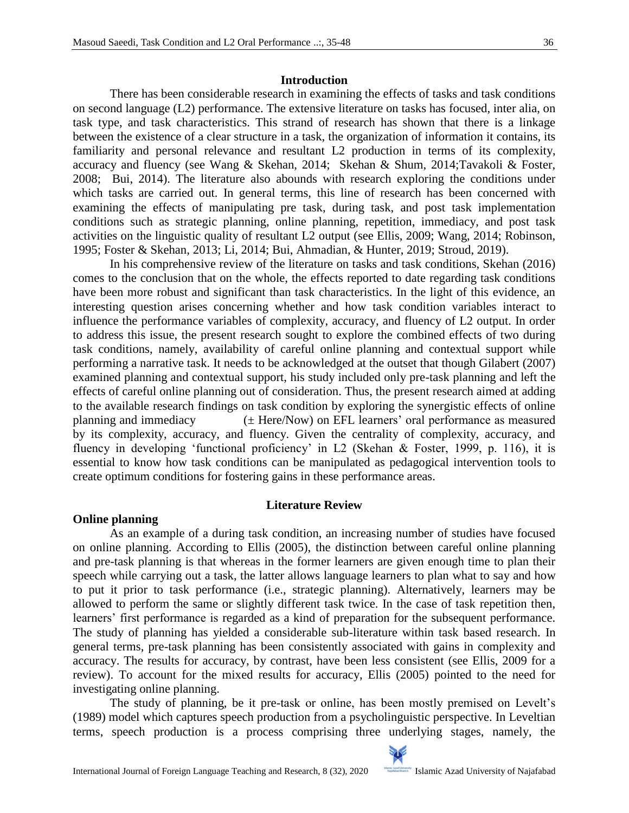#### **Introduction**

There has been considerable research in examining the effects of tasks and task conditions on second language (L2) performance. The extensive literature on tasks has focused, inter alia, on task type, and task characteristics. This strand of research has shown that there is a linkage between the existence of a clear structure in a task, the organization of information it contains, its familiarity and personal relevance and resultant L2 production in terms of its complexity, accuracy and fluency (see Wang & Skehan, 2014; Skehan & Shum, 2014;Tavakoli & Foster, 2008; Bui, 2014). The literature also abounds with research exploring the conditions under which tasks are carried out. In general terms, this line of research has been concerned with examining the effects of manipulating pre task, during task, and post task implementation conditions such as strategic planning, online planning, repetition, immediacy, and post task activities on the linguistic quality of resultant L2 output (see Ellis, 2009; Wang, 2014; Robinson, 1995; Foster & Skehan, 2013; Li, 2014; Bui, Ahmadian, & Hunter, 2019; Stroud, 2019).

In his comprehensive review of the literature on tasks and task conditions, Skehan (2016) comes to the conclusion that on the whole, the effects reported to date regarding task conditions have been more robust and significant than task characteristics. In the light of this evidence, an interesting question arises concerning whether and how task condition variables interact to influence the performance variables of complexity, accuracy, and fluency of L2 output. In order to address this issue, the present research sought to explore the combined effects of two during task conditions, namely, availability of careful online planning and contextual support while performing a narrative task. It needs to be acknowledged at the outset that though Gilabert (2007) examined planning and contextual support, his study included only pre-task planning and left the effects of careful online planning out of consideration. Thus, the present research aimed at adding to the available research findings on task condition by exploring the synergistic effects of online planning and immediacy  $(\pm \text{Here/Now})$  on EFL learners' oral performance as measured by its complexity, accuracy, and fluency. Given the centrality of complexity, accuracy, and fluency in developing 'functional proficiency' in L2 (Skehan & Foster, 1999, p. 116), it is essential to know how task conditions can be manipulated as pedagogical intervention tools to create optimum conditions for fostering gains in these performance areas.

#### **Literature Review**

#### **Online planning**

As an example of a during task condition, an increasing number of studies have focused on online planning. According to Ellis (2005), the distinction between careful online planning and pre-task planning is that whereas in the former learners are given enough time to plan their speech while carrying out a task, the latter allows language learners to plan what to say and how to put it prior to task performance (i.e., strategic planning). Alternatively, learners may be allowed to perform the same or slightly different task twice. In the case of task repetition then, learners' first performance is regarded as a kind of preparation for the subsequent performance. The study of planning has yielded a considerable sub-literature within task based research. In general terms, pre-task planning has been consistently associated with gains in complexity and accuracy. The results for accuracy, by contrast, have been less consistent (see Ellis, 2009 for a review). To account for the mixed results for accuracy, Ellis (2005) pointed to the need for investigating online planning.

The study of planning, be it pre-task or online, has been mostly premised on Levelt's (1989) model which captures speech production from a psycholinguistic perspective. In Leveltian terms, speech production is a process comprising three underlying stages, namely, the

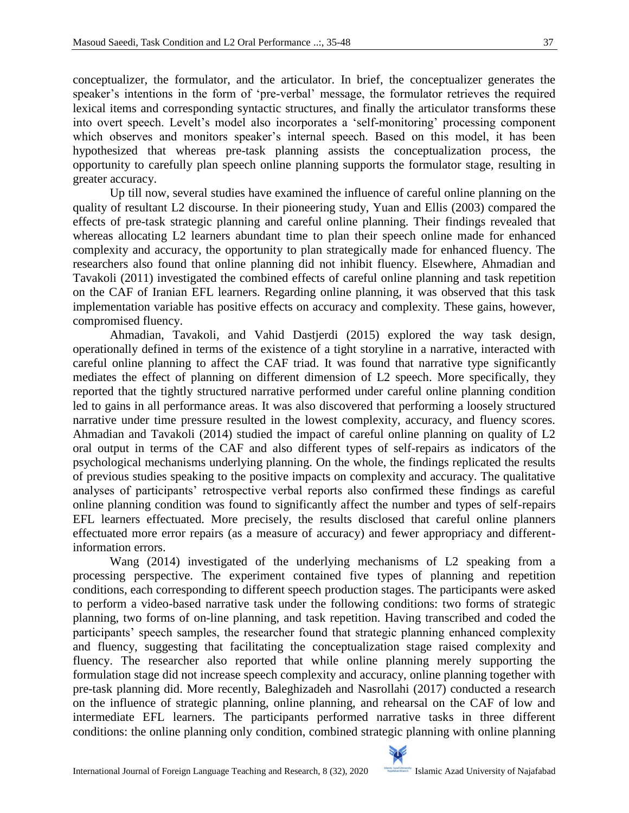conceptualizer, the formulator, and the articulator. In brief, the conceptualizer generates the speaker's intentions in the form of 'pre-verbal' message, the formulator retrieves the required lexical items and corresponding syntactic structures, and finally the articulator transforms these into overt speech. Levelt's model also incorporates a 'self-monitoring' processing component which observes and monitors speaker's internal speech. Based on this model, it has been hypothesized that whereas pre-task planning assists the conceptualization process, the opportunity to carefully plan speech online planning supports the formulator stage, resulting in greater accuracy.

Up till now, several studies have examined the influence of careful online planning on the quality of resultant L2 discourse. In their pioneering study, Yuan and Ellis (2003) compared the effects of pre-task strategic planning and careful online planning. Their findings revealed that whereas allocating L2 learners abundant time to plan their speech online made for enhanced complexity and accuracy, the opportunity to plan strategically made for enhanced fluency. The researchers also found that online planning did not inhibit fluency. Elsewhere, Ahmadian and Tavakoli (2011) investigated the combined effects of careful online planning and task repetition on the CAF of Iranian EFL learners. Regarding online planning, it was observed that this task implementation variable has positive effects on accuracy and complexity. These gains, however, compromised fluency.

Ahmadian, Tavakoli, and Vahid Dastjerdi (2015) explored the way task design, operationally defined in terms of the existence of a tight storyline in a narrative, interacted with careful online planning to affect the CAF triad. It was found that narrative type significantly mediates the effect of planning on different dimension of L2 speech. More specifically, they reported that the tightly structured narrative performed under careful online planning condition led to gains in all performance areas. It was also discovered that performing a loosely structured narrative under time pressure resulted in the lowest complexity, accuracy, and fluency scores. Ahmadian and Tavakoli (2014) studied the impact of careful online planning on quality of L2 oral output in terms of the CAF and also different types of self-repairs as indicators of the psychological mechanisms underlying planning. On the whole, the findings replicated the results of previous studies speaking to the positive impacts on complexity and accuracy. The qualitative analyses of participants' retrospective verbal reports also confirmed these findings as careful online planning condition was found to significantly affect the number and types of self-repairs EFL learners effectuated. More precisely, the results disclosed that careful online planners effectuated more error repairs (as a measure of accuracy) and fewer appropriacy and differentinformation errors.

Wang (2014) investigated of the underlying mechanisms of L2 speaking from a processing perspective. The experiment contained five types of planning and repetition conditions, each corresponding to different speech production stages. The participants were asked to perform a video-based narrative task under the following conditions: two forms of strategic planning, two forms of on-line planning, and task repetition. Having transcribed and coded the participants' speech samples, the researcher found that strategic planning enhanced complexity and fluency, suggesting that facilitating the conceptualization stage raised complexity and fluency. The researcher also reported that while online planning merely supporting the formulation stage did not increase speech complexity and accuracy, online planning together with pre-task planning did. More recently, Baleghizadeh and Nasrollahi (2017) conducted a research on the influence of strategic planning, online planning, and rehearsal on the CAF of low and intermediate EFL learners. The participants performed narrative tasks in three different conditions: the online planning only condition, combined strategic planning with online planning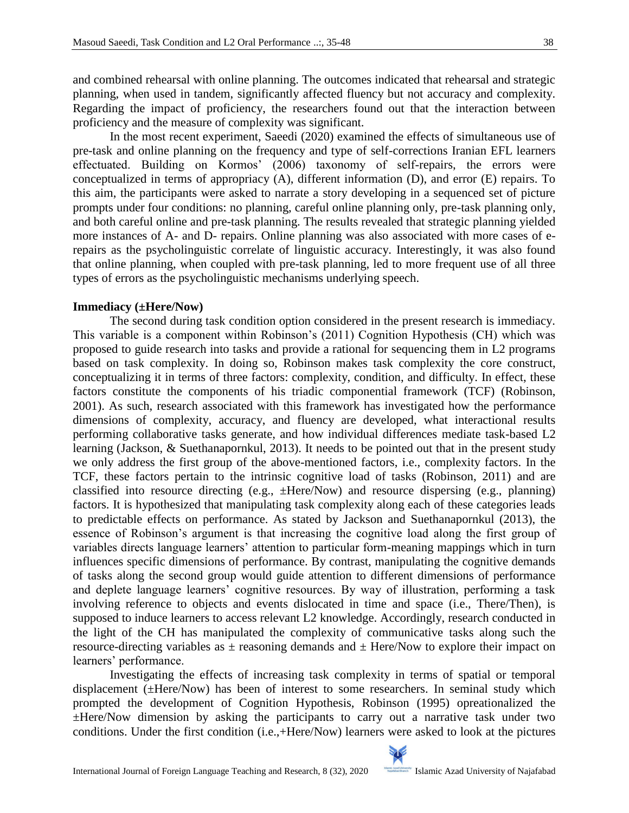and combined rehearsal with online planning. The outcomes indicated that rehearsal and strategic planning, when used in tandem, significantly affected fluency but not accuracy and complexity. Regarding the impact of proficiency, the researchers found out that the interaction between proficiency and the measure of complexity was significant.

In the most recent experiment, Saeedi (2020) examined the effects of simultaneous use of pre-task and online planning on the frequency and type of self-corrections Iranian EFL learners effectuated. Building on Kormos' (2006) taxonomy of self-repairs, the errors were conceptualized in terms of appropriacy (A), different information (D), and error (E) repairs. To this aim, the participants were asked to narrate a story developing in a sequenced set of picture prompts under four conditions: no planning, careful online planning only, pre-task planning only, and both careful online and pre-task planning. The results revealed that strategic planning yielded more instances of A- and D- repairs. Online planning was also associated with more cases of erepairs as the psycholinguistic correlate of linguistic accuracy. Interestingly, it was also found that online planning, when coupled with pre-task planning, led to more frequent use of all three types of errors as the psycholinguistic mechanisms underlying speech.

### **Immediacy (±Here/Now)**

The second during task condition option considered in the present research is immediacy. This variable is a component within Robinson's (2011) Cognition Hypothesis (CH) which was proposed to guide research into tasks and provide a rational for sequencing them in L2 programs based on task complexity. In doing so, Robinson makes task complexity the core construct, conceptualizing it in terms of three factors: complexity, condition, and difficulty. In effect, these factors constitute the components of his triadic componential framework (TCF) (Robinson, 2001). As such, research associated with this framework has investigated how the performance dimensions of complexity, accuracy, and fluency are developed, what interactional results performing collaborative tasks generate, and how individual differences mediate task-based L2 learning (Jackson, & Suethanapornkul, 2013). It needs to be pointed out that in the present study we only address the first group of the above-mentioned factors, i.e., complexity factors. In the TCF, these factors pertain to the intrinsic cognitive load of tasks (Robinson, 2011) and are classified into resource directing (e.g., ±Here/Now) and resource dispersing (e.g., planning) factors. It is hypothesized that manipulating task complexity along each of these categories leads to predictable effects on performance. As stated by Jackson and Suethanapornkul (2013), the essence of Robinson's argument is that increasing the cognitive load along the first group of variables directs language learners' attention to particular form-meaning mappings which in turn influences specific dimensions of performance. By contrast, manipulating the cognitive demands of tasks along the second group would guide attention to different dimensions of performance and deplete language learners' cognitive resources. By way of illustration, performing a task involving reference to objects and events dislocated in time and space (i.e., There/Then), is supposed to induce learners to access relevant L2 knowledge. Accordingly, research conducted in the light of the CH has manipulated the complexity of communicative tasks along such the resource-directing variables as  $\pm$  reasoning demands and  $\pm$  Here/Now to explore their impact on learners' performance.

Investigating the effects of increasing task complexity in terms of spatial or temporal displacement (±Here/Now) has been of interest to some researchers. In seminal study which prompted the development of Cognition Hypothesis, Robinson (1995) opreationalized the ±Here/Now dimension by asking the participants to carry out a narrative task under two conditions. Under the first condition (i.e.,+Here/Now) learners were asked to look at the pictures

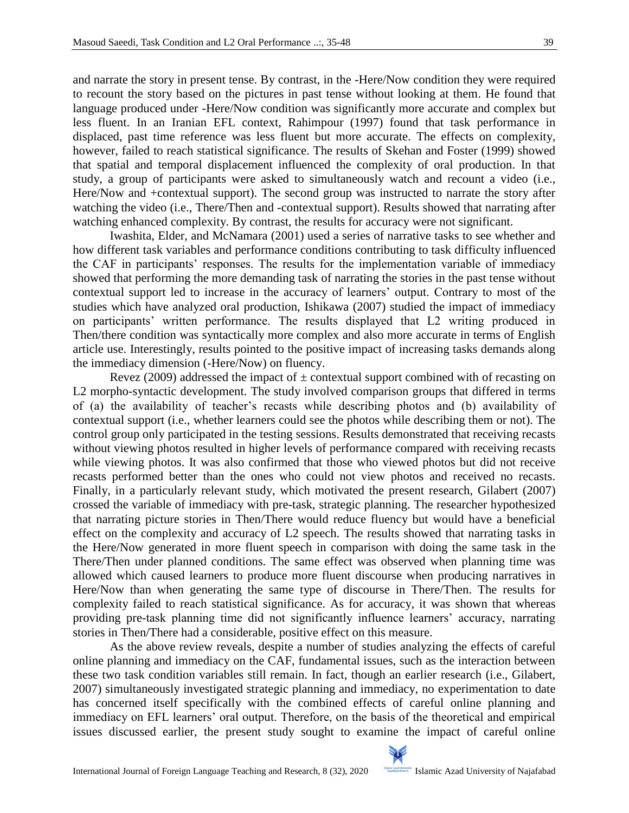and narrate the story in present tense. By contrast, in the -Here/Now condition they were required to recount the story based on the pictures in past tense without looking at them. He found that language produced under -Here/Now condition was significantly more accurate and complex but less fluent. In an Iranian EFL context, Rahimpour (1997) found that task performance in displaced, past time reference was less fluent but more accurate. The effects on complexity, however, failed to reach statistical significance. The results of Skehan and Foster (1999) showed that spatial and temporal displacement influenced the complexity of oral production. In that study, a group of participants were asked to simultaneously watch and recount a video (i.e., Here/Now and +contextual support). The second group was instructed to narrate the story after watching the video (i.e., There/Then and -contextual support). Results showed that narrating after watching enhanced complexity. By contrast, the results for accuracy were not significant.

Iwashita, Elder, and McNamara (2001) used a series of narrative tasks to see whether and how different task variables and performance conditions contributing to task difficulty influenced the CAF in participants' responses. The results for the implementation variable of immediacy showed that performing the more demanding task of narrating the stories in the past tense without contextual support led to increase in the accuracy of learners' output. Contrary to most of the studies which have analyzed oral production, Ishikawa (2007) studied the impact of immediacy on participants' written performance. The results displayed that L2 writing produced in Then/there condition was syntactically more complex and also more accurate in terms of English article use. Interestingly, results pointed to the positive impact of increasing tasks demands along the immediacy dimension (-Here/Now) on fluency.

Revez (2009) addressed the impact of  $\pm$  contextual support combined with of recasting on L2 morpho-syntactic development. The study involved comparison groups that differed in terms of (a) the availability of teacher's recasts while describing photos and (b) availability of contextual support (i.e., whether learners could see the photos while describing them or not). The control group only participated in the testing sessions. Results demonstrated that receiving recasts without viewing photos resulted in higher levels of performance compared with receiving recasts while viewing photos. It was also confirmed that those who viewed photos but did not receive recasts performed better than the ones who could not view photos and received no recasts. Finally, in a particularly relevant study, which motivated the present research, Gilabert (2007) crossed the variable of immediacy with pre-task, strategic planning. The researcher hypothesized that narrating picture stories in Then/There would reduce fluency but would have a beneficial effect on the complexity and accuracy of L2 speech. The results showed that narrating tasks in the Here/Now generated in more fluent speech in comparison with doing the same task in the There/Then under planned conditions. The same effect was observed when planning time was allowed which caused learners to produce more fluent discourse when producing narratives in Here/Now than when generating the same type of discourse in There/Then. The results for complexity failed to reach statistical significance. As for accuracy, it was shown that whereas providing pre-task planning time did not significantly influence learners' accuracy, narrating stories in Then/There had a considerable, positive effect on this measure.

As the above review reveals, despite a number of studies analyzing the effects of careful online planning and immediacy on the CAF, fundamental issues, such as the interaction between these two task condition variables still remain. In fact, though an earlier research (i.e., Gilabert, 2007) simultaneously investigated strategic planning and immediacy, no experimentation to date has concerned itself specifically with the combined effects of careful online planning and immediacy on EFL learners' oral output. Therefore, on the basis of the theoretical and empirical issues discussed earlier, the present study sought to examine the impact of careful online

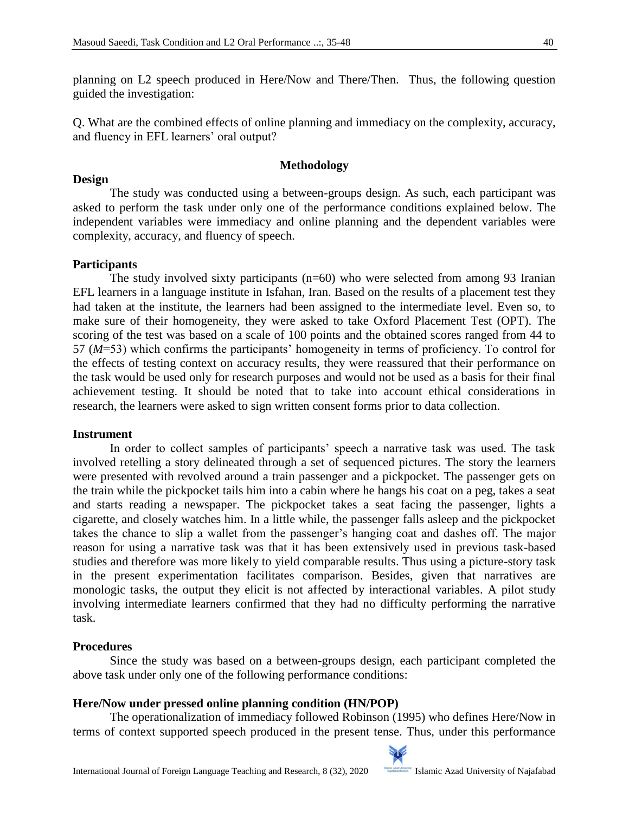planning on L2 speech produced in Here/Now and There/Then. Thus, the following question guided the investigation:

Q. What are the combined effects of online planning and immediacy on the complexity, accuracy, and fluency in EFL learners' oral output?

# **Methodology**

The study was conducted using a between-groups design. As such, each participant was asked to perform the task under only one of the performance conditions explained below. The independent variables were immediacy and online planning and the dependent variables were complexity, accuracy, and fluency of speech.

# **Participants**

**Design**

The study involved sixty participants (n=60) who were selected from among 93 Iranian EFL learners in a language institute in Isfahan, Iran. Based on the results of a placement test they had taken at the institute, the learners had been assigned to the intermediate level. Even so, to make sure of their homogeneity, they were asked to take Oxford Placement Test (OPT). The scoring of the test was based on a scale of 100 points and the obtained scores ranged from 44 to 57 (*M*=53) which confirms the participants' homogeneity in terms of proficiency. To control for the effects of testing context on accuracy results, they were reassured that their performance on the task would be used only for research purposes and would not be used as a basis for their final achievement testing. It should be noted that to take into account ethical considerations in research, the learners were asked to sign written consent forms prior to data collection.

# **Instrument**

In order to collect samples of participants' speech a narrative task was used. The task involved retelling a story delineated through a set of sequenced pictures. The story the learners were presented with revolved around a train passenger and a pickpocket. The passenger gets on the train while the pickpocket tails him into a cabin where he hangs his coat on a peg, takes a seat and starts reading a newspaper. The pickpocket takes a seat facing the passenger, lights a cigarette, and closely watches him. In a little while, the passenger falls asleep and the pickpocket takes the chance to slip a wallet from the passenger's hanging coat and dashes off. The major reason for using a narrative task was that it has been extensively used in previous task-based studies and therefore was more likely to yield comparable results. Thus using a picture-story task in the present experimentation facilitates comparison. Besides, given that narratives are monologic tasks, the output they elicit is not affected by interactional variables. A pilot study involving intermediate learners confirmed that they had no difficulty performing the narrative task.

# **Procedures**

Since the study was based on a between-groups design, each participant completed the above task under only one of the following performance conditions:

# **Here/Now under pressed online planning condition (HN/POP)**

The operationalization of immediacy followed Robinson (1995) who defines Here/Now in terms of context supported speech produced in the present tense. Thus, under this performance

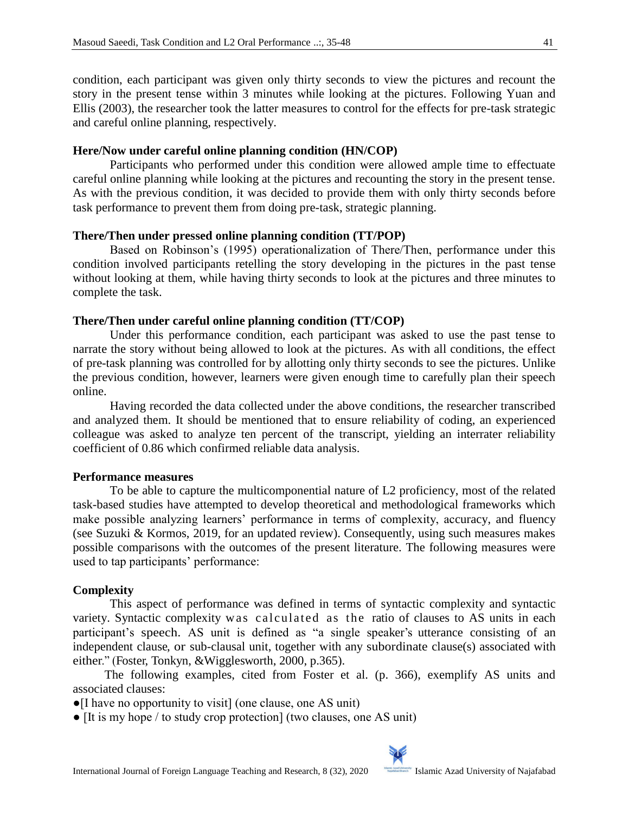condition, each participant was given only thirty seconds to view the pictures and recount the story in the present tense within 3 minutes while looking at the pictures. Following Yuan and Ellis (2003), the researcher took the latter measures to control for the effects for pre-task strategic and careful online planning, respectively.

## **Here/Now under careful online planning condition (HN/COP)**

Participants who performed under this condition were allowed ample time to effectuate careful online planning while looking at the pictures and recounting the story in the present tense. As with the previous condition, it was decided to provide them with only thirty seconds before task performance to prevent them from doing pre-task, strategic planning.

### **There/Then under pressed online planning condition (TT/POP)**

Based on Robinson's (1995) operationalization of There/Then, performance under this condition involved participants retelling the story developing in the pictures in the past tense without looking at them, while having thirty seconds to look at the pictures and three minutes to complete the task.

### **There/Then under careful online planning condition (TT/COP)**

Under this performance condition, each participant was asked to use the past tense to narrate the story without being allowed to look at the pictures. As with all conditions, the effect of pre-task planning was controlled for by allotting only thirty seconds to see the pictures. Unlike the previous condition, however, learners were given enough time to carefully plan their speech online.

Having recorded the data collected under the above conditions, the researcher transcribed and analyzed them. It should be mentioned that to ensure reliability of coding, an experienced colleague was asked to analyze ten percent of the transcript, yielding an interrater reliability coefficient of 0.86 which confirmed reliable data analysis.

#### **Performance measures**

To be able to capture the multicomponential nature of L2 proficiency, most of the related task-based studies have attempted to develop theoretical and methodological frameworks which make possible analyzing learners' performance in terms of complexity, accuracy, and fluency (see Suzuki & Kormos, 2019, for an updated review). Consequently, using such measures makes possible comparisons with the outcomes of the present literature. The following measures were used to tap participants' performance:

# **Complexity**

This aspect of performance was defined in terms of syntactic complexity and syntactic variety. Syntactic complexity was calculated as the ratio of clauses to AS units in each participant's speech. AS unit is defined as "a single speaker's utterance consisting of an independent clause, or sub-clausal unit, together with any subordinate clause(s) associated with either." (Foster, Tonkyn, &Wigglesworth, 2000, p.365).

The following examples, cited from Foster et al. (p. 366), exemplify AS units and associated clauses:

●[I have no opportunity to visit] (one clause, one AS unit)

● [It is my hope / to study crop protection] (two clauses, one AS unit)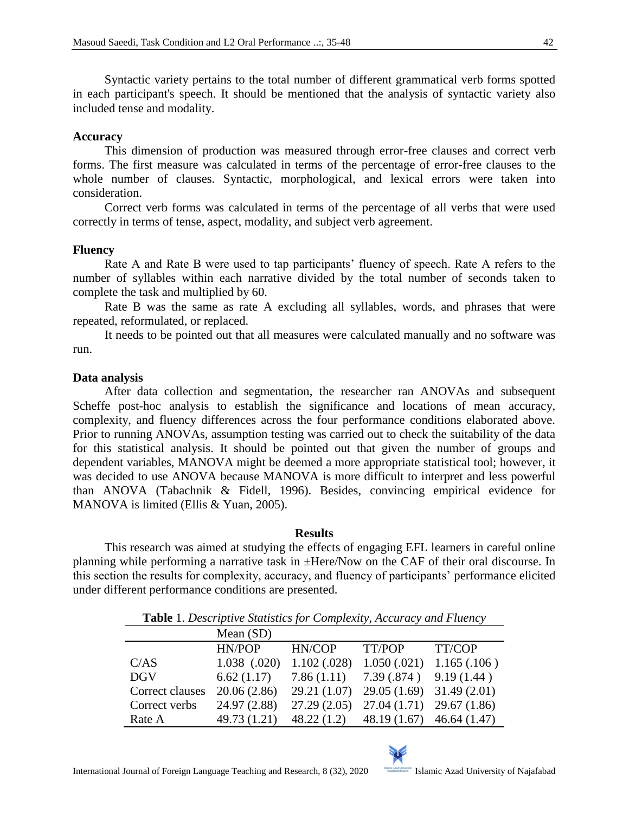Syntactic variety pertains to the total number of different grammatical verb forms spotted in each participant's speech. It should be mentioned that the analysis of syntactic variety also included tense and modality.

#### **Accuracy**

This dimension of production was measured through error-free clauses and correct verb forms. The first measure was calculated in terms of the percentage of error-free clauses to the whole number of clauses. Syntactic, morphological, and lexical errors were taken into consideration.

Correct verb forms was calculated in terms of the percentage of all verbs that were used correctly in terms of tense, aspect, modality, and subject verb agreement.

### **Fluency**

Rate A and Rate B were used to tap participants' fluency of speech. Rate A refers to the number of syllables within each narrative divided by the total number of seconds taken to complete the task and multiplied by 60.

Rate B was the same as rate A excluding all syllables, words, and phrases that were repeated, reformulated, or replaced.

It needs to be pointed out that all measures were calculated manually and no software was run.

### **Data analysis**

After data collection and segmentation, the researcher ran ANOVAs and subsequent Scheffe post-hoc analysis to establish the significance and locations of mean accuracy, complexity, and fluency differences across the four performance conditions elaborated above. Prior to running ANOVAs, assumption testing was carried out to check the suitability of the data for this statistical analysis. It should be pointed out that given the number of groups and dependent variables, MANOVA might be deemed a more appropriate statistical tool; however, it was decided to use ANOVA because MANOVA is more difficult to interpret and less powerful than ANOVA (Tabachnik & Fidell, 1996). Besides, convincing empirical evidence for MANOVA is limited (Ellis & Yuan, 2005).

#### **Results**

This research was aimed at studying the effects of engaging EFL learners in careful online planning while performing a narrative task in ±Here/Now on the CAF of their oral discourse. In this section the results for complexity, accuracy, and fluency of participants' performance elicited under different performance conditions are presented.

| <b>Table</b> 1. Descriptive blanshes for Complexity, Heelingey and I theney |                  |              |                               |             |  |
|-----------------------------------------------------------------------------|------------------|--------------|-------------------------------|-------------|--|
|                                                                             | Mean (SD)        |              |                               |             |  |
|                                                                             | HN/POP           | HN/COP       | TT/POP                        | TT/COP      |  |
| C/AS                                                                        | $1.038$ $(.020)$ | 1.102(.028)  | 1.050(.021)                   | 1.165(.106) |  |
| <b>DGV</b>                                                                  | 6.62(1.17)       | 7.86(1.11)   | 7.39(.874)                    | 9.19(1.44)  |  |
| Correct clauses                                                             | 20.06(2.86)      | 29.21 (1.07) | 29.05(1.69)                   | 31.49(2.01) |  |
| Correct verbs                                                               | 24.97 (2.88)     | 27.29(2.05)  | 27.04(1.71)                   | 29.67(1.86) |  |
| Rate A                                                                      | 49.73 (1.21)     | 48.22(1.2)   | 48.19 $(1.67)$ 46.64 $(1.47)$ |             |  |

**Table** 1. *Descriptive Statistics for Complexity, Accuracy and Fluency*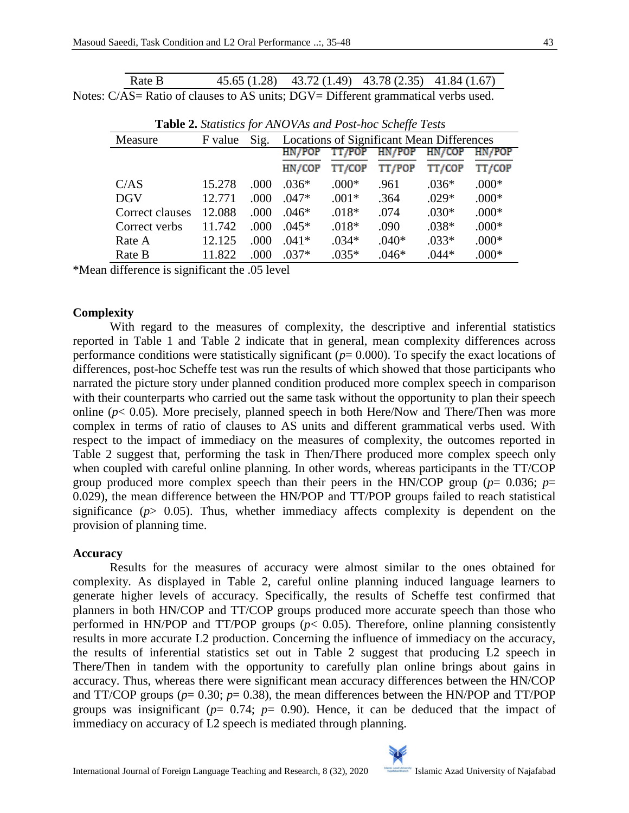| Rate B                                                                            | $45.65(1.28)$ $43.72(1.49)$ $43.78(2.35)$ $41.84(1.67)$ |  |  |
|-----------------------------------------------------------------------------------|---------------------------------------------------------|--|--|
| Notes: C/AS= Ratio of clauses to AS units; DGV= Different grammatical verbs used. |                                                         |  |  |

| <b>Table 2.</b> Statistics for ANOVAs and Post-hoc Scheffe Tests |         |      |                                                  |               |         |         |         |
|------------------------------------------------------------------|---------|------|--------------------------------------------------|---------------|---------|---------|---------|
| Measure                                                          | F value | Sig. | <b>Locations of Significant Mean Differences</b> |               |         |         |         |
|                                                                  |         |      |                                                  | HN/POP TT/POP | HN/POP  | HN/COP  | HN/POP  |
|                                                                  |         |      | HN/COP                                           | TT/COP        | TT/POP  | TT/COP  | TT/COP  |
| C/AS                                                             | 15.278  | .000 | $.036*$                                          | $.000*$       | .961    | $.036*$ | $.000*$ |
| <b>DGV</b>                                                       | 12.771  | .000 | $.047*$                                          | $.001*$       | .364    | $.029*$ | $.000*$ |
| Correct clauses                                                  | 12.088  | .000 | .046*                                            | $.018*$       | .074    | $.030*$ | $.000*$ |
| Correct verbs                                                    | 11.742  | .000 | $.045*$                                          | $.018*$       | .090    | $.038*$ | $.000*$ |
| Rate A                                                           | 12.125  | .000 | $.041*$                                          | $.034*$       | $.040*$ | $.033*$ | $.000*$ |
| Rate B                                                           | 11.822  | .000 | $.037*$                                          | $.035*$       | $.046*$ | $.044*$ | $.000*$ |

| Table 2. Statistics for ANOVAs and Post-hoc Scheffe Tests |  |  |  |
|-----------------------------------------------------------|--|--|--|
|-----------------------------------------------------------|--|--|--|

\*Mean difference is significant the .05 level

# **Complexity**

With regard to the measures of complexity, the descriptive and inferential statistics reported in Table 1 and Table 2 indicate that in general, mean complexity differences across performance conditions were statistically significant (*p*= 0.000). To specify the exact locations of differences, post-hoc Scheffe test was run the results of which showed that those participants who narrated the picture story under planned condition produced more complex speech in comparison with their counterparts who carried out the same task without the opportunity to plan their speech online (*p*< 0.05). More precisely, planned speech in both Here/Now and There/Then was more complex in terms of ratio of clauses to AS units and different grammatical verbs used. With respect to the impact of immediacy on the measures of complexity, the outcomes reported in Table 2 suggest that, performing the task in Then/There produced more complex speech only when coupled with careful online planning. In other words, whereas participants in the TT/COP group produced more complex speech than their peers in the HN/COP group ( $p=0.036$ ;  $p=$ 0.029), the mean difference between the HN/POP and TT/POP groups failed to reach statistical significance ( $p$ > 0.05). Thus, whether immediacy affects complexity is dependent on the provision of planning time.

# **Accuracy**

Results for the measures of accuracy were almost similar to the ones obtained for complexity. As displayed in Table 2, careful online planning induced language learners to generate higher levels of accuracy. Specifically, the results of Scheffe test confirmed that planners in both HN/COP and TT/COP groups produced more accurate speech than those who performed in HN/POP and TT/POP groups  $(p< 0.05)$ . Therefore, online planning consistently results in more accurate L2 production. Concerning the influence of immediacy on the accuracy, the results of inferential statistics set out in Table 2 suggest that producing L2 speech in There/Then in tandem with the opportunity to carefully plan online brings about gains in accuracy. Thus, whereas there were significant mean accuracy differences between the HN/COP and TT/COP groups ( $p= 0.30$ ;  $p= 0.38$ ), the mean differences between the HN/POP and TT/POP groups was insignificant ( $p= 0.74$ ;  $p= 0.90$ ). Hence, it can be deduced that the impact of immediacy on accuracy of L2 speech is mediated through planning.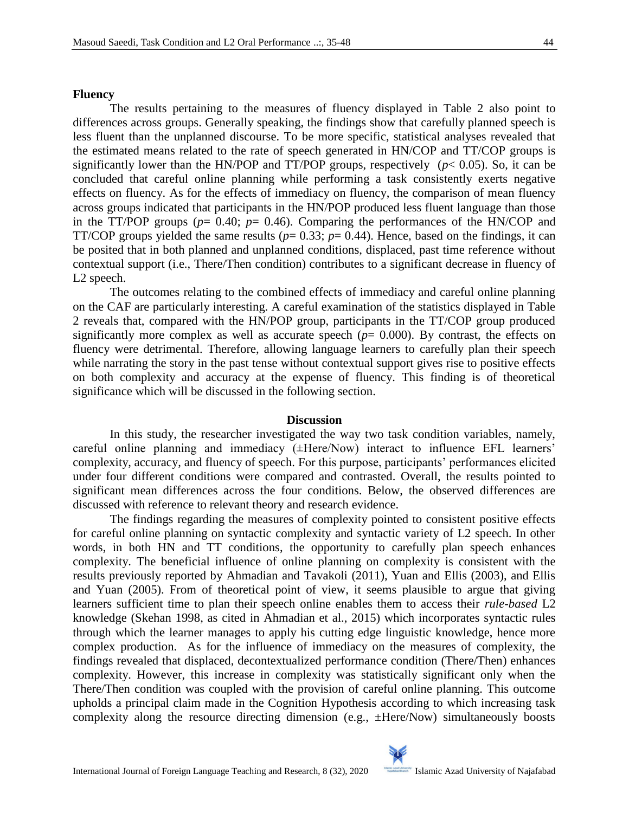#### **Fluency**

The results pertaining to the measures of fluency displayed in Table 2 also point to differences across groups. Generally speaking, the findings show that carefully planned speech is less fluent than the unplanned discourse. To be more specific, statistical analyses revealed that the estimated means related to the rate of speech generated in HN/COP and TT/COP groups is significantly lower than the HN/POP and TT/POP groups, respectively  $(p< 0.05)$ . So, it can be concluded that careful online planning while performing a task consistently exerts negative effects on fluency. As for the effects of immediacy on fluency, the comparison of mean fluency across groups indicated that participants in the HN/POP produced less fluent language than those in the TT/POP groups  $(p= 0.40; p= 0.46)$ . Comparing the performances of the HN/COP and TT/COP groups yielded the same results ( $p= 0.33$ ;  $p= 0.44$ ). Hence, based on the findings, it can be posited that in both planned and unplanned conditions, displaced, past time reference without contextual support (i.e., There/Then condition) contributes to a significant decrease in fluency of L2 speech.

The outcomes relating to the combined effects of immediacy and careful online planning on the CAF are particularly interesting. A careful examination of the statistics displayed in Table 2 reveals that, compared with the HN/POP group, participants in the TT/COP group produced significantly more complex as well as accurate speech  $(p= 0.000)$ . By contrast, the effects on fluency were detrimental. Therefore, allowing language learners to carefully plan their speech while narrating the story in the past tense without contextual support gives rise to positive effects on both complexity and accuracy at the expense of fluency. This finding is of theoretical significance which will be discussed in the following section.

#### **Discussion**

In this study, the researcher investigated the way two task condition variables, namely, careful online planning and immediacy (±Here/Now) interact to influence EFL learners' complexity, accuracy, and fluency of speech. For this purpose, participants' performances elicited under four different conditions were compared and contrasted. Overall, the results pointed to significant mean differences across the four conditions. Below, the observed differences are discussed with reference to relevant theory and research evidence.

The findings regarding the measures of complexity pointed to consistent positive effects for careful online planning on syntactic complexity and syntactic variety of L2 speech. In other words, in both HN and TT conditions, the opportunity to carefully plan speech enhances complexity. The beneficial influence of online planning on complexity is consistent with the results previously reported by Ahmadian and Tavakoli (2011), Yuan and Ellis (2003), and Ellis and Yuan (2005). From of theoretical point of view, it seems plausible to argue that giving learners sufficient time to plan their speech online enables them to access their *rule-based* L2 knowledge (Skehan 1998, as cited in Ahmadian et al., 2015) which incorporates syntactic rules through which the learner manages to apply his cutting edge linguistic knowledge, hence more complex production. As for the influence of immediacy on the measures of complexity, the findings revealed that displaced, decontextualized performance condition (There/Then) enhances complexity. However, this increase in complexity was statistically significant only when the There/Then condition was coupled with the provision of careful online planning. This outcome upholds a principal claim made in the Cognition Hypothesis according to which increasing task complexity along the resource directing dimension (e.g., ±Here/Now) simultaneously boosts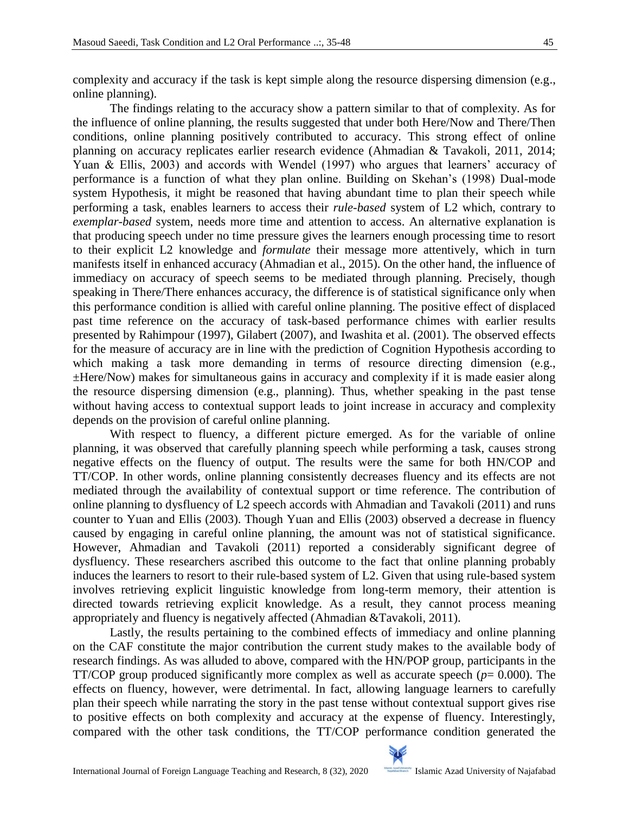complexity and accuracy if the task is kept simple along the resource dispersing dimension (e.g., online planning).

The findings relating to the accuracy show a pattern similar to that of complexity. As for the influence of online planning, the results suggested that under both Here/Now and There/Then conditions, online planning positively contributed to accuracy. This strong effect of online planning on accuracy replicates earlier research evidence (Ahmadian & Tavakoli, 2011, 2014; Yuan & Ellis, 2003) and accords with Wendel (1997) who argues that learners' accuracy of performance is a function of what they plan online. Building on Skehan's (1998) Dual-mode system Hypothesis, it might be reasoned that having abundant time to plan their speech while performing a task, enables learners to access their *rule-based* system of L2 which, contrary to *exemplar-based* system, needs more time and attention to access. An alternative explanation is that producing speech under no time pressure gives the learners enough processing time to resort to their explicit L2 knowledge and *formulate* their message more attentively, which in turn manifests itself in enhanced accuracy (Ahmadian et al., 2015). On the other hand, the influence of immediacy on accuracy of speech seems to be mediated through planning. Precisely, though speaking in There/There enhances accuracy, the difference is of statistical significance only when this performance condition is allied with careful online planning. The positive effect of displaced past time reference on the accuracy of task-based performance chimes with earlier results presented by Rahimpour (1997), Gilabert (2007), and Iwashita et al. (2001). The observed effects for the measure of accuracy are in line with the prediction of Cognition Hypothesis according to which making a task more demanding in terms of resource directing dimension (e.g., ±Here/Now) makes for simultaneous gains in accuracy and complexity if it is made easier along the resource dispersing dimension (e.g., planning). Thus, whether speaking in the past tense without having access to contextual support leads to joint increase in accuracy and complexity depends on the provision of careful online planning.

With respect to fluency, a different picture emerged. As for the variable of online planning, it was observed that carefully planning speech while performing a task, causes strong negative effects on the fluency of output. The results were the same for both HN/COP and TT/COP. In other words, online planning consistently decreases fluency and its effects are not mediated through the availability of contextual support or time reference. The contribution of online planning to dysfluency of L2 speech accords with Ahmadian and Tavakoli (2011) and runs counter to Yuan and Ellis (2003). Though Yuan and Ellis (2003) observed a decrease in fluency caused by engaging in careful online planning, the amount was not of statistical significance. However, Ahmadian and Tavakoli (2011) reported a considerably significant degree of dysfluency. These researchers ascribed this outcome to the fact that online planning probably induces the learners to resort to their rule-based system of L2. Given that using rule-based system involves retrieving explicit linguistic knowledge from long-term memory, their attention is directed towards retrieving explicit knowledge. As a result, they cannot process meaning appropriately and fluency is negatively affected (Ahmadian &Tavakoli, 2011).

Lastly, the results pertaining to the combined effects of immediacy and online planning on the CAF constitute the major contribution the current study makes to the available body of research findings. As was alluded to above, compared with the HN/POP group, participants in the TT/COP group produced significantly more complex as well as accurate speech (*p*= 0.000). The effects on fluency, however, were detrimental. In fact, allowing language learners to carefully plan their speech while narrating the story in the past tense without contextual support gives rise to positive effects on both complexity and accuracy at the expense of fluency. Interestingly, compared with the other task conditions, the TT/COP performance condition generated the

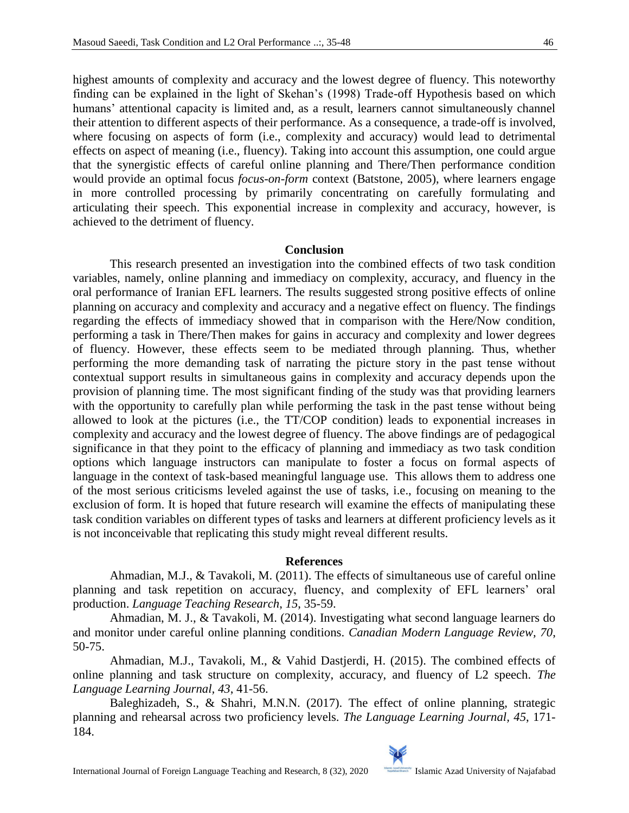highest amounts of complexity and accuracy and the lowest degree of fluency. This noteworthy finding can be explained in the light of Skehan's (1998) Trade-off Hypothesis based on which humans' attentional capacity is limited and, as a result, learners cannot simultaneously channel their attention to different aspects of their performance. As a consequence, a trade-off is involved, where focusing on aspects of form (i.e., complexity and accuracy) would lead to detrimental effects on aspect of meaning (i.e., fluency). Taking into account this assumption, one could argue that the synergistic effects of careful online planning and There/Then performance condition would provide an optimal focus *focus-on-form* context (Batstone, 2005), where learners engage in more controlled processing by primarily concentrating on carefully formulating and articulating their speech. This exponential increase in complexity and accuracy, however, is achieved to the detriment of fluency.

#### **Conclusion**

This research presented an investigation into the combined effects of two task condition variables, namely, online planning and immediacy on complexity, accuracy, and fluency in the oral performance of Iranian EFL learners. The results suggested strong positive effects of online planning on accuracy and complexity and accuracy and a negative effect on fluency. The findings regarding the effects of immediacy showed that in comparison with the Here/Now condition, performing a task in There/Then makes for gains in accuracy and complexity and lower degrees of fluency. However, these effects seem to be mediated through planning. Thus, whether performing the more demanding task of narrating the picture story in the past tense without contextual support results in simultaneous gains in complexity and accuracy depends upon the provision of planning time. The most significant finding of the study was that providing learners with the opportunity to carefully plan while performing the task in the past tense without being allowed to look at the pictures (i.e., the TT/COP condition) leads to exponential increases in complexity and accuracy and the lowest degree of fluency. The above findings are of pedagogical significance in that they point to the efficacy of planning and immediacy as two task condition options which language instructors can manipulate to foster a focus on formal aspects of language in the context of task-based meaningful language use. This allows them to address one of the most serious criticisms leveled against the use of tasks, i.e., focusing on meaning to the exclusion of form. It is hoped that future research will examine the effects of manipulating these task condition variables on different types of tasks and learners at different proficiency levels as it is not inconceivable that replicating this study might reveal different results.

#### **References**

Ahmadian, M.J., & Tavakoli, M. (2011). The effects of simultaneous use of careful online planning and task repetition on accuracy, fluency, and complexity of EFL learners' oral production. *Language Teaching Research*, *15*, 35-59.

Ahmadian, M. J., & Tavakoli, M. (2014). Investigating what second language learners do and monitor under careful online planning conditions. *Canadian Modern Language Review, 70*, 50-75.

Ahmadian, M.J., Tavakoli, M., & Vahid Dastjerdi, H. (2015). The combined effects of online planning and task structure on complexity, accuracy, and fluency of L2 speech. *The Language Learning Journal, 43*, 41-56.

Baleghizadeh, S., & Shahri, M.N.N. (2017). The effect of online planning, strategic planning and rehearsal across two proficiency levels. *The Language Learning Journal, 45*, 171- 184.

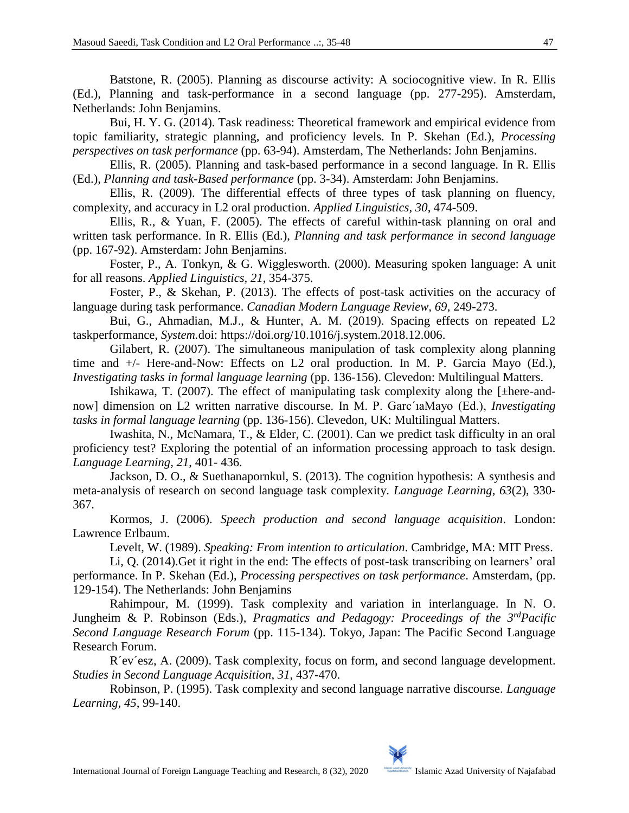Batstone, R. (2005). Planning as discourse activity: A sociocognitive view. In R. Ellis (Ed.), Planning and task-performance in a second language (pp. 277-295). Amsterdam, Netherlands: John Benjamins.

Bui, H. Y. G. (2014). Task readiness: Theoretical framework and empirical evidence from topic familiarity, strategic planning, and proficiency levels. In P. Skehan (Ed.), *Processing perspectives on task performance* (pp. 63-94). Amsterdam, The Netherlands: John Benjamins.

Ellis, R. (2005). Planning and task-based performance in a second language. In R. Ellis (Ed.), *Planning and task-Based performance* (pp. 3-34). Amsterdam: John Benjamins.

Ellis, R. (2009). The differential effects of three types of task planning on fluency, complexity, and accuracy in L2 oral production. *Applied Linguistics, 30*, 474-509.

Ellis, R., & Yuan, F. (2005). The effects of careful within-task planning on oral and written task performance. In R. Ellis (Ed.), *Planning and task performance in second language*  (pp. 167-92). Amsterdam: John Benjamins.

Foster, P., A. Tonkyn, & G. Wigglesworth. (2000). Measuring spoken language: A unit for all reasons. *Applied Linguistics, 21*, 354-375.

Foster, P., & Skehan, P. (2013). The effects of post-task activities on the accuracy of language during task performance. *Canadian Modern Language Review, 69*, 249-273.

Bui, G., Ahmadian, M.J., & Hunter, A. M. (2019). Spacing effects on repeated L2 taskperformance, *System.*doi: https://doi.org/10.1016/j.system.2018.12.006.

Gilabert, R. (2007). The simultaneous manipulation of task complexity along planning time and +/- Here-and-Now: Effects on L2 oral production. In M. P. Garcia Mayo (Ed.), *Investigating tasks in formal language learning (pp. 136-156). Clevedon: Multilingual Matters.* 

Ishikawa, T. (2007). The effect of manipulating task complexity along the [±here-andnow] dimension on L2 written narrative discourse. In M. P. Garc´ıaMayo (Ed.), *Investigating tasks in formal language learning* (pp. 136-156). Clevedon, UK: Multilingual Matters.

Iwashita, N., McNamara, T., & Elder, C. (2001). Can we predict task difficulty in an oral proficiency test? Exploring the potential of an information processing approach to task design. *Language Learning, 21*, 401- 436.

Jackson, D. O., & Suethanapornkul, S. (2013). The cognition hypothesis: A synthesis and meta-analysis of research on second language task complexity. *Language Learning, 63*(2), 330- 367.

Kormos, J. (2006). *Speech production and second language acquisition*. London: Lawrence Erlbaum.

Levelt, W. (1989). *Speaking: From intention to articulation*. Cambridge, MA: MIT Press.

Li, Q. (2014).Get it right in the end: The effects of post-task transcribing on learners' oral performance. In P. Skehan (Ed.), *Processing perspectives on task performance*. Amsterdam, (pp. 129-154). The Netherlands: John Benjamins

Rahimpour, M. (1999). Task complexity and variation in interlanguage. In N. O. Jungheim & P. Robinson (Eds.), *Pragmatics and Pedagogy: Proceedings of the 3rdPacific Second Language Research Forum* (pp. 115-134). Tokyo, Japan: The Pacific Second Language Research Forum.

R´ev´esz, A. (2009). Task complexity, focus on form, and second language development. *Studies in Second Language Acquisition*, *31*, 437-470.

Robinson, P. (1995). Task complexity and second language narrative discourse. *Language Learning, 45*, 99-140.